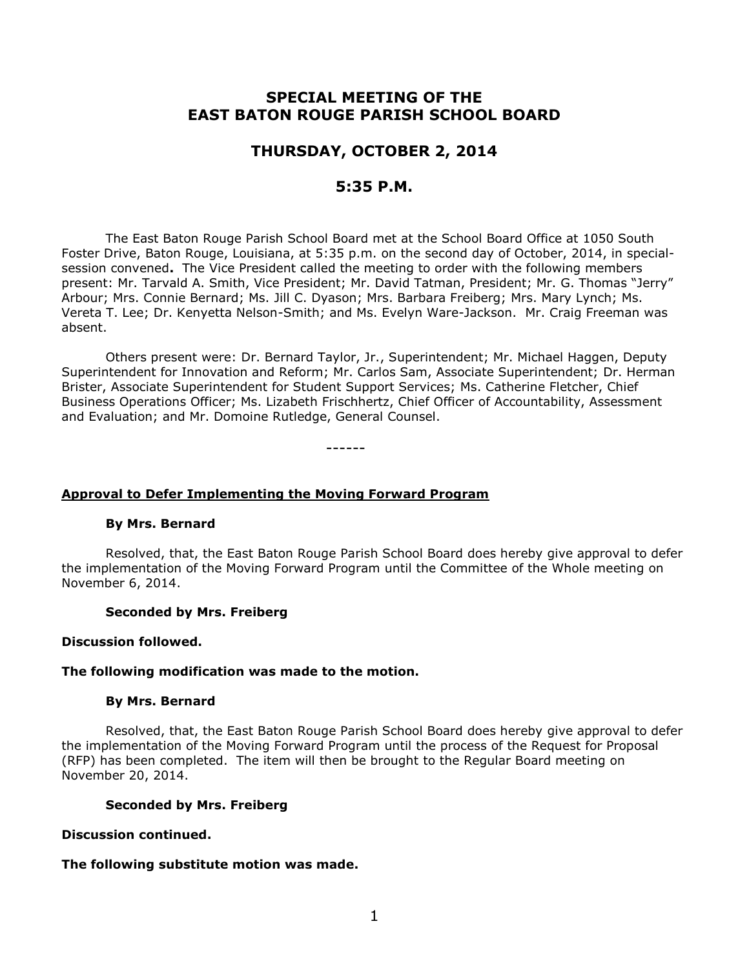# **SPECIAL MEETING OF THE EAST BATON ROUGE PARISH SCHOOL BOARD**

# **THURSDAY, OCTOBER 2, 2014**

# **5:35 P.M.**

The East Baton Rouge Parish School Board met at the School Board Office at 1050 South Foster Drive, Baton Rouge, Louisiana, at 5:35 p.m. on the second day of October, 2014, in specialsession convened**.** The Vice President called the meeting to order with the following members present: Mr. Tarvald A. Smith, Vice President; Mr. David Tatman, President; Mr. G. Thomas "Jerry" Arbour; Mrs. Connie Bernard; Ms. Jill C. Dyason; Mrs. Barbara Freiberg; Mrs. Mary Lynch; Ms. Vereta T. Lee; Dr. Kenyetta Nelson-Smith; and Ms. Evelyn Ware-Jackson. Mr. Craig Freeman was absent.

Others present were: Dr. Bernard Taylor, Jr., Superintendent; Mr. Michael Haggen, Deputy Superintendent for Innovation and Reform; Mr. Carlos Sam, Associate Superintendent; Dr. Herman Brister, Associate Superintendent for Student Support Services; Ms. Catherine Fletcher, Chief Business Operations Officer; Ms. Lizabeth Frischhertz, Chief Officer of Accountability, Assessment and Evaluation; and Mr. Domoine Rutledge, General Counsel.

------

## **Approval to Defer Implementing the Moving Forward Program**

### **By Mrs. Bernard**

Resolved, that, the East Baton Rouge Parish School Board does hereby give approval to defer the implementation of the Moving Forward Program until the Committee of the Whole meeting on November 6, 2014.

#### **Seconded by Mrs. Freiberg**

#### **Discussion followed.**

#### **The following modification was made to the motion.**

#### **By Mrs. Bernard**

Resolved, that, the East Baton Rouge Parish School Board does hereby give approval to defer the implementation of the Moving Forward Program until the process of the Request for Proposal (RFP) has been completed. The item will then be brought to the Regular Board meeting on November 20, 2014.

#### **Seconded by Mrs. Freiberg**

### **Discussion continued.**

## **The following substitute motion was made.**